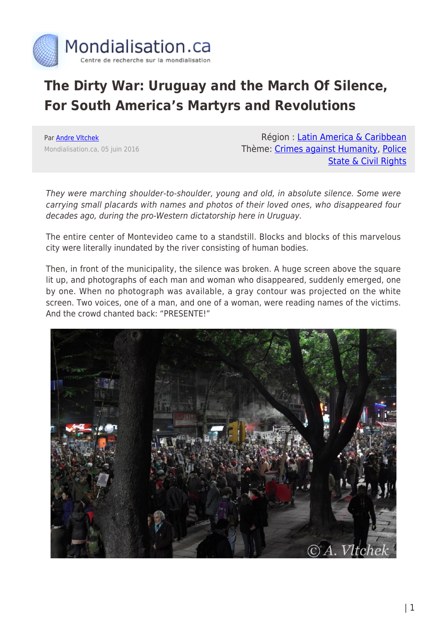

## **The Dirty War: Uruguay and the March Of Silence, For South America's Martyrs and Revolutions**

Par [Andre Vltchek](https://www.mondialisation.ca/author/andre-vltchek) Mondialisation.ca, 05 juin 2016

Région : [Latin America & Caribbean](https://www.mondialisation.ca/region/latin-america-caribbean) Thème: [Crimes against Humanity,](https://www.mondialisation.ca/theme/crimes-against-humanity) [Police](https://www.mondialisation.ca/theme/police-state-civil-rights) [State & Civil Rights](https://www.mondialisation.ca/theme/police-state-civil-rights)

They were marching shoulder-to-shoulder, young and old, in absolute silence. Some were carrying small placards with names and photos of their loved ones, who disappeared four decades ago, during the pro-Western dictatorship here in Uruguay.

The entire center of Montevideo came to a standstill. Blocks and blocks of this marvelous city were literally inundated by the river consisting of human bodies.

Then, in front of the municipality, the silence was broken. A huge screen above the square lit up, and photographs of each man and woman who disappeared, suddenly emerged, one by one. When no photograph was available, a gray contour was projected on the white screen. Two voices, one of a man, and one of a woman, were reading names of the victims. And the crowd chanted back: "PRESENTE!"

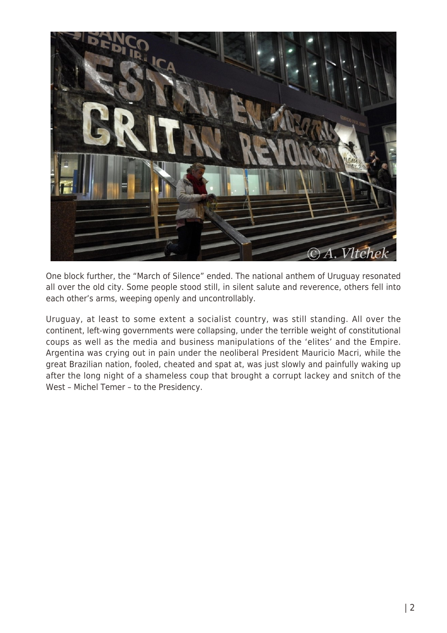

One block further, the "March of Silence" ended. The national anthem of Uruguay resonated all over the old city. Some people stood still, in silent salute and reverence, others fell into each other's arms, weeping openly and uncontrollably.

Uruguay, at least to some extent a socialist country, was still standing. All over the continent, left-wing governments were collapsing, under the terrible weight of constitutional coups as well as the media and business manipulations of the 'elites' and the Empire. Argentina was crying out in pain under the neoliberal President Mauricio Macri, while the great Brazilian nation, fooled, cheated and spat at, was just slowly and painfully waking up after the long night of a shameless coup that brought a corrupt lackey and snitch of the West – Michel Temer – to the Presidency.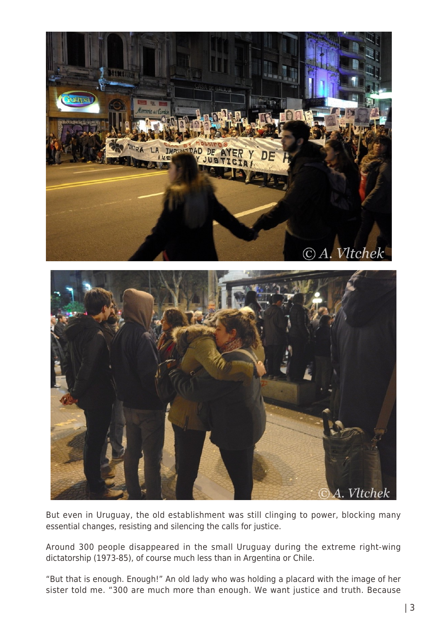

But even in Uruguay, the old establishment was still clinging to power, blocking many essential changes, resisting and silencing the calls for justice.

Around 300 people disappeared in the small Uruguay during the extreme right-wing dictatorship (1973-85), of course much less than in Argentina or Chile.

"But that is enough. Enough!" An old lady who was holding a placard with the image of her sister told me. "300 are much more than enough. We want justice and truth. Because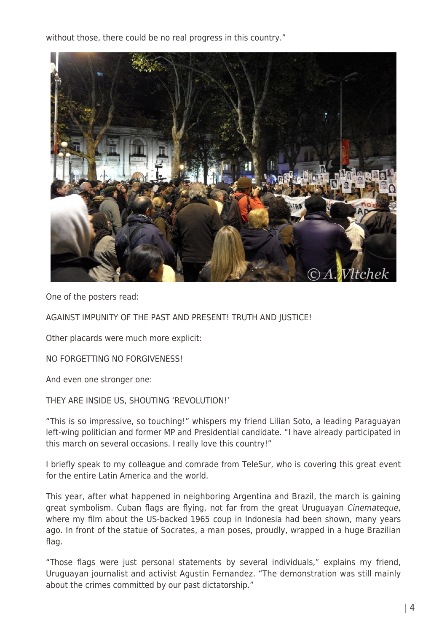without those, there could be no real progress in this country."



One of the posters read:

AGAINST IMPUNITY OF THE PAST AND PRESENT! TRUTH AND JUSTICE!

Other placards were much more explicit:

NO FORGETTING NO FORGIVENESS!

And even one stronger one:

THEY ARE INSIDE US, SHOUTING 'REVOLUTION!'

"This is so impressive, so touching!" whispers my friend Lilian Soto, a leading Paraguayan left-wing politician and former MP and Presidential candidate. "I have already participated in this march on several occasions. I really love this country!"

I briefly speak to my colleague and comrade from TeleSur, who is covering this great event for the entire Latin America and the world.

This year, after what happened in neighboring Argentina and Brazil, the march is gaining great symbolism. Cuban flags are flying, not far from the great Uruguayan Cinemateque, where my film about the US-backed 1965 coup in Indonesia had been shown, many years ago. In front of the statue of Socrates, a man poses, proudly, wrapped in a huge Brazilian flag.

"Those flags were just personal statements by several individuals," explains my friend, Uruguayan journalist and activist Agustin Fernandez. "The demonstration was still mainly about the crimes committed by our past dictatorship."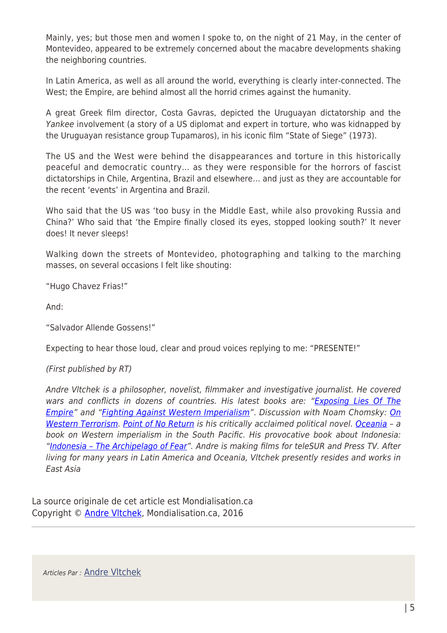Mainly, yes; but those men and women I spoke to, on the night of 21 May, in the center of Montevideo, appeared to be extremely concerned about the macabre developments shaking the neighboring countries.

In Latin America, as well as all around the world, everything is clearly inter-connected. The West; the Empire, are behind almost all the horrid crimes against the humanity.

A great Greek film director, Costa Gavras, depicted the Uruguayan dictatorship and the Yankee involvement (a story of a US diplomat and expert in torture, who was kidnapped by the Uruguayan resistance group Tupamaros), in his iconic film "State of Siege" (1973).

The US and the West were behind the disappearances and torture in this historically peaceful and democratic country… as they were responsible for the horrors of fascist dictatorships in Chile, Argentina, Brazil and elsewhere… and just as they are accountable for the recent 'events' in Argentina and Brazil.

Who said that the US was 'too busy in the Middle East, while also provoking Russia and China?' Who said that 'the Empire finally closed its eyes, stopped looking south?' It never does! It never sleeps!

Walking down the streets of Montevideo, photographing and talking to the marching masses, on several occasions I felt like shouting:

"Hugo Chavez Frias!"

And:

"Salvador Allende Gossens!"

Expecting to hear those loud, clear and proud voices replying to me: "PRESENTE!"

(First published by RT)

Andre Vltchek is a philosopher, novelist, filmmaker and investigative journalist. He covered wars and conflicts in dozens of countries. His latest books are: ["Exposing Lies Of The](http://www.amazon.com/Exposing-Lies-Empire-Andre-Vltchek/dp/6027005866) [Empire"](http://www.amazon.com/Exposing-Lies-Empire-Andre-Vltchek/dp/6027005866) and "[Fighting Against Western Imperialism"](http://www.amazon.com/Fighting-Against-Western-Imperialism-Vltchek/dp/6027005823). Discussion with Noam Chomsky: [On](http://www.plutobooks.com/display.asp?K=9780745333878) [Western Terrorism](http://www.plutobooks.com/display.asp?K=9780745333878). [Point of No Return](http://www.amazon.com/exec/obidos/ASIN/0977459071/counterpunchmaga) is his critically acclaimed political novel. [Oceania](http://www.amazon.com/exec/obidos/ASIN/1409298035/counterpunchmaga) - a book on Western imperialism in the South Pacific. His provocative book about Indonesia: "Indonesia - The Archipelago of Fear". Andre is making films for teleSUR and Press TV. After living for many years in Latin America and Oceania, Vltchek presently resides and works in East Asia

La source originale de cet article est Mondialisation.ca Copyright © [Andre Vltchek,](https://www.mondialisation.ca/author/andre-vltchek) Mondialisation.ca, 2016

Articles Par : [Andre Vltchek](https://www.mondialisation.ca/author/andre-vltchek)